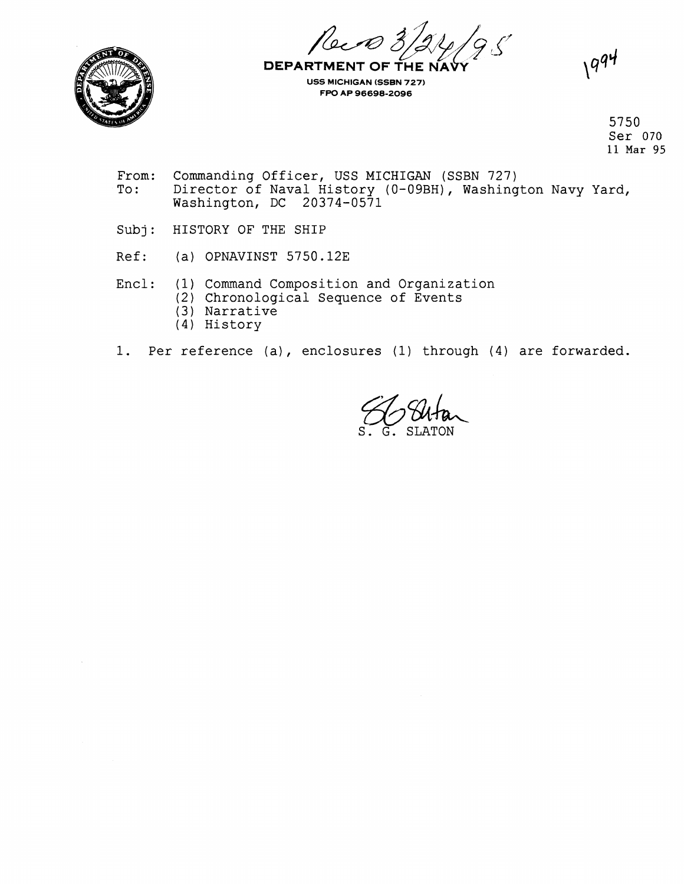*4--@ 3\$45\$???* !i7



**DEPARTMENT OF THE USS MICHIGAN (SSBN 727) FW AP 96698-2096** 

 $1994$ 

5750 Ser 070 11 Mar 95

- From: Commanding Officer, USS MICHIGAN (SSBN 727)<br>To: Director of Naval History (0-09BH), Washing Director of Naval History (0-09BH), Washington Navy Yard, Washington, DC 20374-0571
- Subj: HISTORY OF THE SHIP
- Ref: (a) OPNAVINST 5750.12E
- Encl: (1) Command Composition and Organization
	- (2) Chronological Sequence of Events
	- (3) Narrative
	- (4) History
- 1. Per reference (a), enclosures **1)** through (4) are forwarded.

 $\frac{2}{\sqrt{6}}$  Shtan S. G. SLATON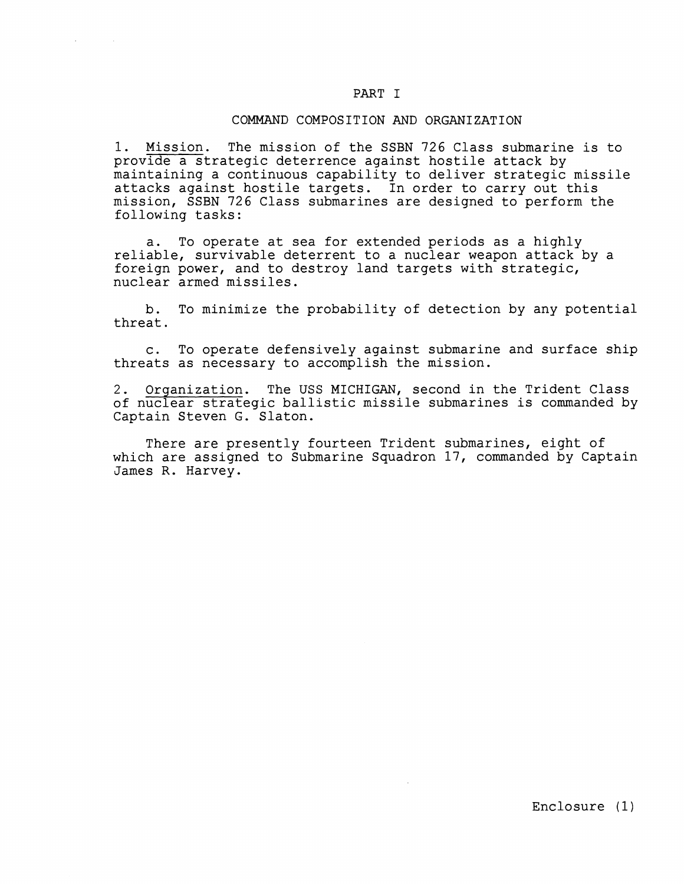# PART I

## COMMAND COMPOSITION AND ORGANIZATION

1. Mission. The mission of the SSBN 726 Class submarine is to provide a strategic deterrence against hostile attack by maintaining a continuous capability to deliver strategic missile attacks against hostile targets. In order to carry out this mission, SSBN 726 Class submarines are designed to perform the following tasks:

a. To operate at sea for extended periods as a highly reliable, survivable deterrent to a nuclear weapon attack by a foreign power, and to destroy land targets with strategic, nuclear armed missiles.

b. To minimize the probability of detection by any potential threat.

c. To operate defensively against submarine and surface ship threats as necessary to accomplish the mission.

2. Orqanization. The USS MICHIGAN, second in the Trident Class of nuclear strategic ballistic missile submarines is commanded by Captain Steven G. Slaton.

There are presently fourteen Trident submarines, eight of which are assigned to Submarine Squadron 17, commanded by Captain James R. Harvey.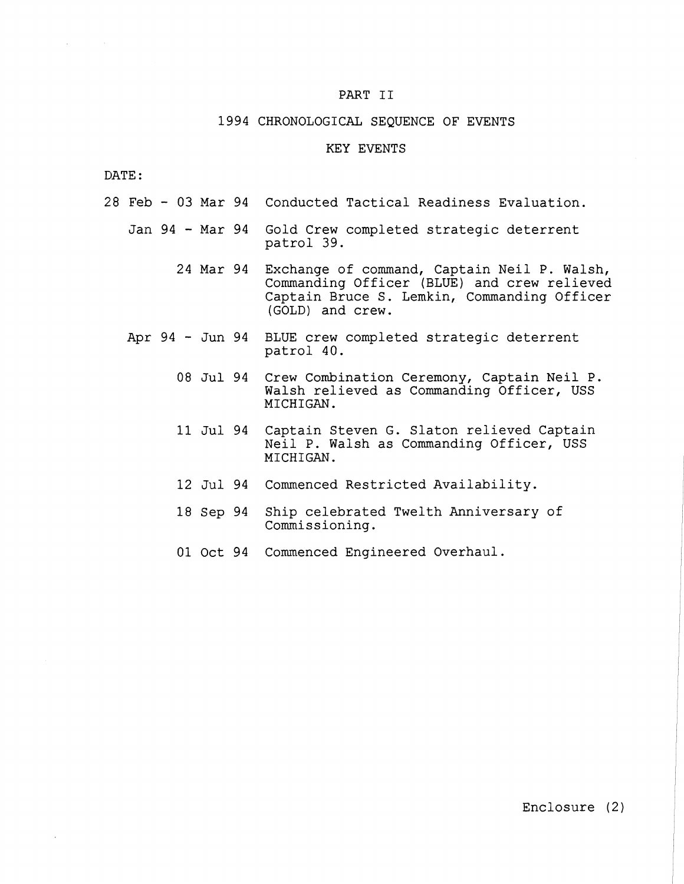### PART **I1**

### 1994 CHRONOLOGICAL SEQUENCE OF EVENTS

# KEY EVENTS

DATE :

 $\Delta \sim 10^{-11}$ 

- 28 Feb 03 Mar 94 Conducted Tactical Readiness Evaluation.
	- Jan 94 Mar 94 Gold Crew completed strategic deterrent patrol 39.
		- 24 Mar 94 Exchange of command, Captain Neil P. Walsh, Commanding Officer (BLUE) and crew relieved Captain Bruce S. Lemkin, Commanding Officer (GOLD) and crew.
	- Apr 94 Jun 94 BLUE crew completed strategic deterrent patrol 40.
		- 08 Jul 94 Crew Combination Ceremony, Captain Neil P. Walsh relieved as Commanding Officer, USS MICHIGAN.
		- 11 Jul 94 Captain Steven G. Slaton relieved Captain Neil P. Walsh as Commanding Officer, USS MICHIGAN.
		- 12 Jul 94 Commenced Restricted Availability.
		- 18 Sep 94 Ship celebrated Twelth Anniversary of Commissioning.
		- 01 Oct 94 Commenced Engineered Overhaul.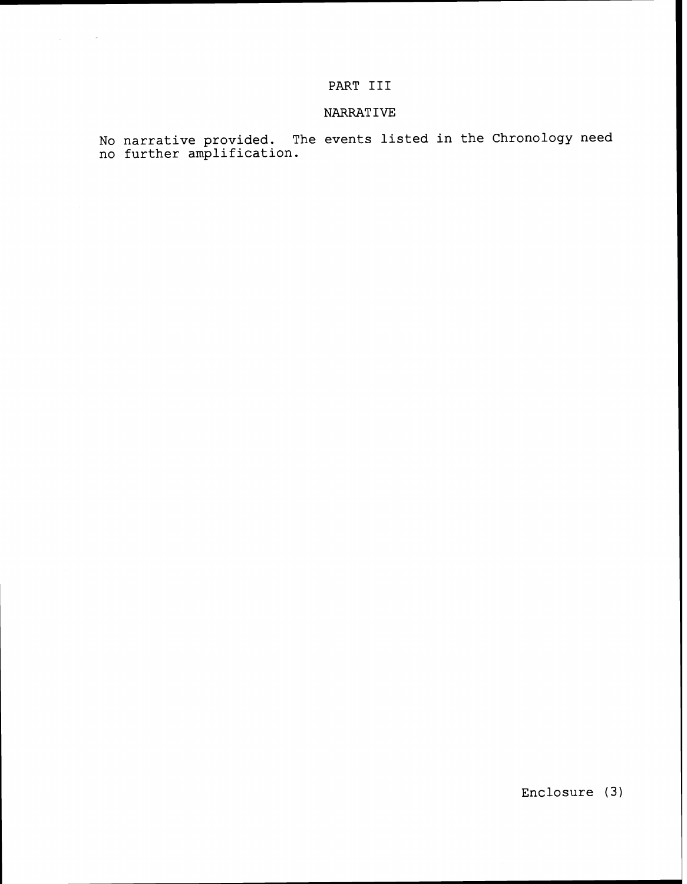# PART **I11**

# NARRAT **IVE**

**No narrative provided. The events listed in the Chronology need no further amplification.** 

**Enclosure (3)**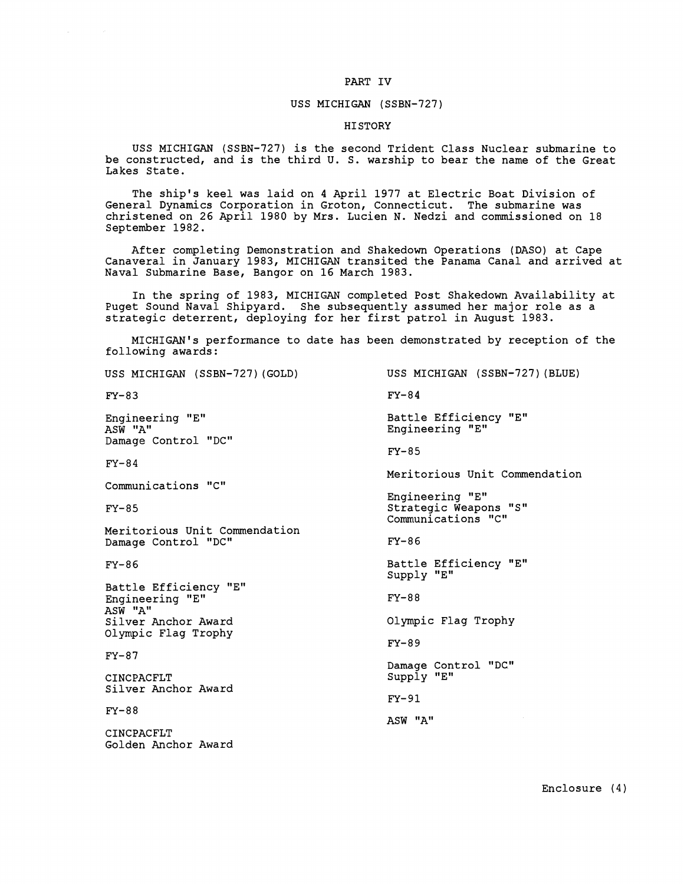### PART IV

#### USS MICHIGAN (SSBN-727)

#### HISTORY

USS MICHIGAN (SSBN-727) is the second Trident Class Nuclear submarine to be constructed, and is the third U. S. warship to bear the name of the Great Lakes State.

The ship's keel was laid on 4 April 1977 at Electric Boat Division of General Dynamics Corporation in Groton, Connecticut. The submarine was christened on 26 April 1980 by Mrs. Lucien N. Nedzi and commissioned on 18 September 1982.

After completing Demonstration and Shakedown Operations (DASO) at Cape Canaveral in January 1983, MICHIGAN transited the Panama Canal and arrived at Naval Submarine Base, Bangor on 16 March 1983.

In the spring of 1983, MICHIGAN completed Post Shakedown Availability at Puget Sound Naval Shipyard. She subsequently assumed her major role as a strategic deterrent, deploying for her first patrol in August 1983.

MICHIGAN'S performance to date has been demonstrated by reception of the following awards:

USS MICHIGAN (SSBN-727) (GOLD) USS MICHIGAN (SSBN-727) (BLUE)  $FY-83$  FY-84 Engineering "En Battle Efficiency "E" ASW "A" Engineering "En Damage Control "DC"  $FY-85$  $FY-84$ Meritorious Unit Commendation Communications "C" Engineering "En  $FY-85$ Strategic Weapons "S" Communications "C" Meritorious Unit Commendation Damage Control "DC"  $FY-86$ Battle Efficiency "E"  $FY-86$ Supply "E" Battle Efficiency "E" Engineering **"En**  FY-8 8 ASW "A" Olympic Flag Trophy Silver Anchor Award Olympic Flag Trophy FY-89  $FY-87$ Damage Control "DC" Supply "E" CINCPACFLT Silver Anchor Award FY-91  $FY-88$ ASW "A" CINCPACFLT Golden Anchor Award

Enclosure (4 )